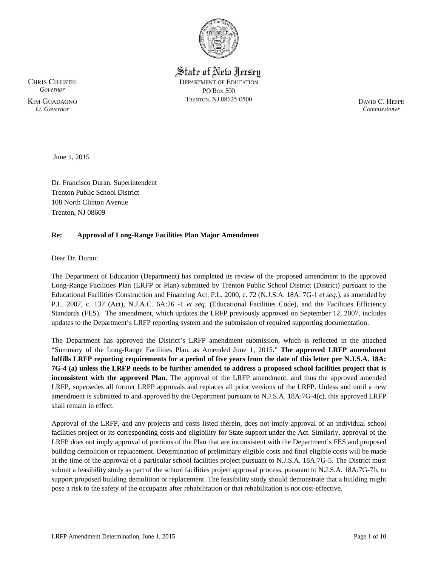

State of New Jersey **DEPARTMENT OF EDUCATION PO Box 500** TRENTON, NJ 08625-0500

**CHRIS CHRISTIE** Governor **KIM GUADAGNO** Lt. Governor

DAVID C. HESPE Commissioner

June 1, 2015

Dr. Francisco Duran, Superintendent Trenton Public School District 108 North Clinton Avenue Trenton, NJ 08609

# **Re: Approval of Long-Range Facilities Plan Major Amendment**

Dear Dr. Duran:

The Department of Education (Department) has completed its review of the proposed amendment to the approved Long-Range Facilities Plan (LRFP or Plan) submitted by Trenton Public School District (District) pursuant to the Educational Facilities Construction and Financing Act, P.L. 2000, c. 72 (N.J.S.A. 18A: 7G-1 *et seq.*), as amended by P.L. 2007, c. 137 (Act), N.J.A.C. 6A:26 -1 *et seq.* (Educational Facilities Code), and the Facilities Efficiency Standards (FES). The amendment, which updates the LRFP previously approved on September 12, 2007, includes updates to the Department's LRFP reporting system and the submission of required supporting documentation.

The Department has approved the District's LRFP amendment submission, which is reflected in the attached "Summary of the Long-Range Facilities Plan, as Amended June 1, 2015." **The approved LRFP amendment fulfills LRFP reporting requirements for a period of five years from the date of this letter per N.J.S.A. 18A: 7G-4 (a) unless the LRFP needs to be further amended to address a proposed school facilities project that is inconsistent with the approved Plan.** The approval of the LRFP amendment, and thus the approved amended LRFP, supersedes all former LRFP approvals and replaces all prior versions of the LRFP. Unless and until a new amendment is submitted to and approved by the Department pursuant to N.J.S.A. 18A:7G-4(c), this approved LRFP shall remain in effect.

Approval of the LRFP, and any projects and costs listed therein, does not imply approval of an individual school facilities project or its corresponding costs and eligibility for State support under the Act. Similarly, approval of the LRFP does not imply approval of portions of the Plan that are inconsistent with the Department's FES and proposed building demolition or replacement. Determination of preliminary eligible costs and final eligible costs will be made at the time of the approval of a particular school facilities project pursuant to N.J.S.A. 18A:7G-5. The District must submit a feasibility study as part of the school facilities project approval process, pursuant to N.J.S.A. 18A:7G-7b, to support proposed building demolition or replacement. The feasibility study should demonstrate that a building might pose a risk to the safety of the occupants after rehabilitation or that rehabilitation is not cost-effective.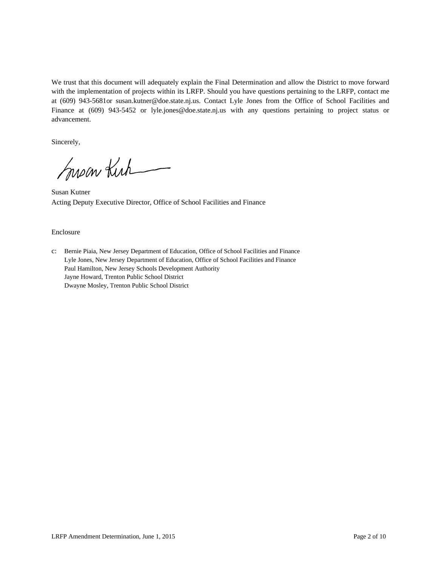We trust that this document will adequately explain the Final Determination and allow the District to move forward with the implementation of projects within its LRFP. Should you have questions pertaining to the LRFP, contact me at (609) 943-5681or susan.kutner@doe.state.nj.us. Contact Lyle Jones from the Office of School Facilities and Finance at (609) 943-5452 or lyle.jones@doe.state.nj.us with any questions pertaining to project status or advancement.

Sincerely,

Susan Kirk

Susan Kutner Acting Deputy Executive Director, Office of School Facilities and Finance

#### Enclosure

c: Bernie Piaia, New Jersey Department of Education, Office of School Facilities and Finance Lyle Jones, New Jersey Department of Education, Office of School Facilities and Finance Paul Hamilton, New Jersey Schools Development Authority Jayne Howard, Trenton Public School District Dwayne Mosley, Trenton Public School District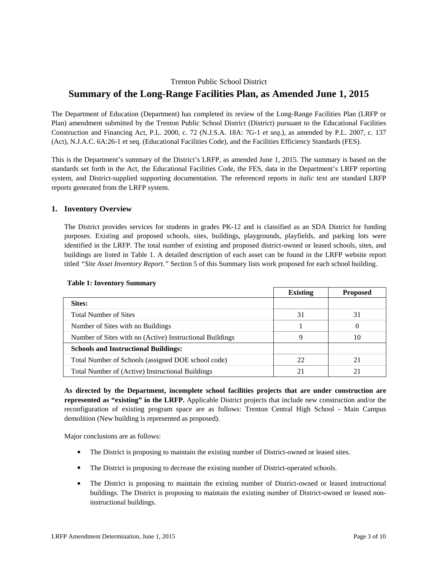# Trenton Public School District **Summary of the Long-Range Facilities Plan, as Amended June 1, 2015**

The Department of Education (Department) has completed its review of the Long-Range Facilities Plan (LRFP or Plan) amendment submitted by the Trenton Public School District (District) pursuant to the Educational Facilities Construction and Financing Act, P.L. 2000, c. 72 (N.J.S.A. 18A: 7G-1 *et seq.*), as amended by P.L. 2007, c. 137 (Act), N.J.A.C. 6A:26-1 et seq. (Educational Facilities Code), and the Facilities Efficiency Standards (FES).

This is the Department's summary of the District's LRFP, as amended June 1, 2015. The summary is based on the standards set forth in the Act, the Educational Facilities Code, the FES, data in the Department's LRFP reporting system, and District-supplied supporting documentation. The referenced reports in *italic* text are standard LRFP reports generated from the LRFP system.

## **1. Inventory Overview**

The District provides services for students in grades PK-12 and is classified as an SDA District for funding purposes. Existing and proposed schools, sites, buildings, playgrounds, playfields, and parking lots were identified in the LRFP. The total number of existing and proposed district-owned or leased schools, sites, and buildings are listed in Table 1. A detailed description of each asset can be found in the LRFP website report titled *"Site Asset Inventory Report."* Section 5 of this Summary lists work proposed for each school building.

|                                                          | <b>Existing</b> | <b>Proposed</b> |
|----------------------------------------------------------|-----------------|-----------------|
| Sites:                                                   |                 |                 |
| <b>Total Number of Sites</b>                             | 31              | 31              |
| Number of Sites with no Buildings                        |                 | $\theta$        |
| Number of Sites with no (Active) Instructional Buildings | Q               | 10              |
| <b>Schools and Instructional Buildings:</b>              |                 |                 |
| Total Number of Schools (assigned DOE school code)       | 22              | 21              |
| Total Number of (Active) Instructional Buildings         |                 | 21              |

#### **Table 1: Inventory Summary**

**As directed by the Department, incomplete school facilities projects that are under construction are represented as "existing" in the LRFP.** Applicable District projects that include new construction and/or the reconfiguration of existing program space are as follows: Trenton Central High School - Main Campus demolition (New building is represented as proposed).

Major conclusions are as follows:

- The District is proposing to maintain the existing number of District-owned or leased sites.
- The District is proposing to decrease the existing number of District-operated schools.
- The District is proposing to maintain the existing number of District-owned or leased instructional buildings. The District is proposing to maintain the existing number of District-owned or leased noninstructional buildings.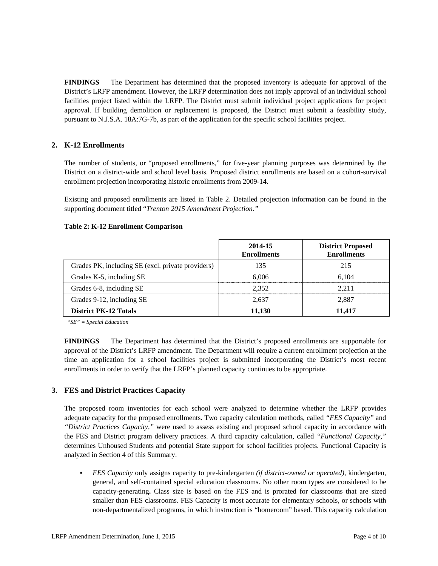**FINDINGS** The Department has determined that the proposed inventory is adequate for approval of the District's LRFP amendment. However, the LRFP determination does not imply approval of an individual school facilities project listed within the LRFP. The District must submit individual project applications for project approval. If building demolition or replacement is proposed, the District must submit a feasibility study, pursuant to N.J.S.A. 18A:7G-7b, as part of the application for the specific school facilities project.

# **2. K-12 Enrollments**

The number of students, or "proposed enrollments," for five-year planning purposes was determined by the District on a district-wide and school level basis. Proposed district enrollments are based on a cohort-survival enrollment projection incorporating historic enrollments from 2009-14.

Existing and proposed enrollments are listed in Table 2. Detailed projection information can be found in the supporting document titled "*Trenton 2015 Amendment Projection."*

#### **Table 2: K-12 Enrollment Comparison**

|                                                   | 2014-15<br><b>Enrollments</b> | <b>District Proposed</b><br><b>Enrollments</b> |
|---------------------------------------------------|-------------------------------|------------------------------------------------|
| Grades PK, including SE (excl. private providers) | 135                           | 215                                            |
| Grades K-5, including SE                          | 6.006                         | 6.104                                          |
| Grades 6-8, including SE                          | 2.352                         | 2.211                                          |
| Grades 9-12, including SE                         | 2.637                         | 2.887                                          |
| <b>District PK-12 Totals</b>                      | 11,130                        | 11,417                                         |

*"SE" = Special Education* 

**FINDINGS** The Department has determined that the District's proposed enrollments are supportable for approval of the District's LRFP amendment. The Department will require a current enrollment projection at the time an application for a school facilities project is submitted incorporating the District's most recent enrollments in order to verify that the LRFP's planned capacity continues to be appropriate.

## **3. FES and District Practices Capacity**

The proposed room inventories for each school were analyzed to determine whether the LRFP provides adequate capacity for the proposed enrollments. Two capacity calculation methods, called *"FES Capacity"* and *"District Practices Capacity,"* were used to assess existing and proposed school capacity in accordance with the FES and District program delivery practices. A third capacity calculation, called *"Functional Capacity,"* determines Unhoused Students and potential State support for school facilities projects. Functional Capacity is analyzed in Section 4 of this Summary.

 *FES Capacity* only assigns capacity to pre-kindergarten *(if district-owned or operated),* kindergarten, general, and self-contained special education classrooms. No other room types are considered to be capacity-generating**.** Class size is based on the FES and is prorated for classrooms that are sized smaller than FES classrooms. FES Capacity is most accurate for elementary schools, or schools with non-departmentalized programs, in which instruction is "homeroom" based. This capacity calculation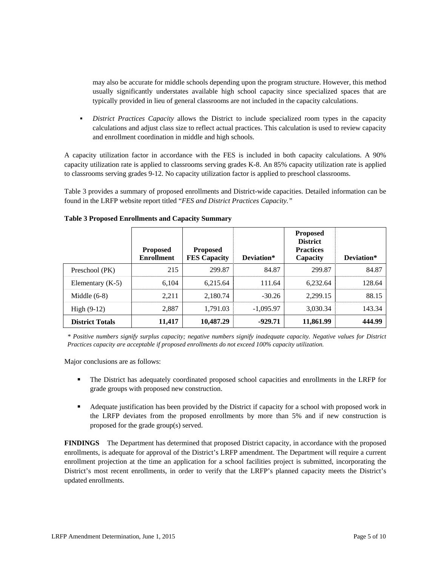may also be accurate for middle schools depending upon the program structure. However, this method usually significantly understates available high school capacity since specialized spaces that are typically provided in lieu of general classrooms are not included in the capacity calculations.

 *District Practices Capacity* allows the District to include specialized room types in the capacity calculations and adjust class size to reflect actual practices. This calculation is used to review capacity and enrollment coordination in middle and high schools.

A capacity utilization factor in accordance with the FES is included in both capacity calculations. A 90% capacity utilization rate is applied to classrooms serving grades K-8. An 85% capacity utilization rate is applied to classrooms serving grades 9-12. No capacity utilization factor is applied to preschool classrooms.

Table 3 provides a summary of proposed enrollments and District-wide capacities. Detailed information can be found in the LRFP website report titled "*FES and District Practices Capacity."*

|                        | <b>Proposed</b><br><b>Enrollment</b> | <b>Proposed</b><br><b>FES Capacity</b> | Deviation*  | <b>Proposed</b><br><b>District</b><br><b>Practices</b><br>Capacity | Deviation* |
|------------------------|--------------------------------------|----------------------------------------|-------------|--------------------------------------------------------------------|------------|
| Preschool (PK)         | 215                                  | 299.87                                 | 84.87       | 299.87                                                             | 84.87      |
| Elementary $(K-5)$     | 6.104                                | 6.215.64                               | 111.64      | 6.232.64                                                           | 128.64     |
| Middle $(6-8)$         | 2.211                                | 2,180.74                               | $-30.26$    | 2.299.15                                                           | 88.15      |
| High $(9-12)$          | 2,887                                | 1,791.03                               | $-1,095.97$ | 3,030.34                                                           | 143.34     |
| <b>District Totals</b> | 11,417                               | 10,487.29                              | $-929.71$   | 11,861.99                                                          | 444.99     |

#### **Table 3 Proposed Enrollments and Capacity Summary**

*\* Positive numbers signify surplus capacity; negative numbers signify inadequate capacity. Negative values for District Practices capacity are acceptable if proposed enrollments do not exceed 100% capacity utilization.* 

Major conclusions are as follows:

- The District has adequately coordinated proposed school capacities and enrollments in the LRFP for grade groups with proposed new construction.
- Adequate justification has been provided by the District if capacity for a school with proposed work in the LRFP deviates from the proposed enrollments by more than 5% and if new construction is proposed for the grade group(s) served.

**FINDINGS** The Department has determined that proposed District capacity, in accordance with the proposed enrollments, is adequate for approval of the District's LRFP amendment. The Department will require a current enrollment projection at the time an application for a school facilities project is submitted, incorporating the District's most recent enrollments, in order to verify that the LRFP's planned capacity meets the District's updated enrollments.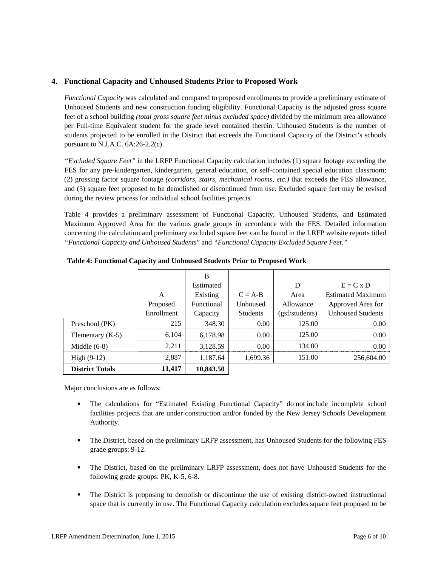## **4. Functional Capacity and Unhoused Students Prior to Proposed Work**

*Functional Capacity* was calculated and compared to proposed enrollments to provide a preliminary estimate of Unhoused Students and new construction funding eligibility. Functional Capacity is the adjusted gross square feet of a school building *(total gross square feet minus excluded space)* divided by the minimum area allowance per Full-time Equivalent student for the grade level contained therein. Unhoused Students is the number of students projected to be enrolled in the District that exceeds the Functional Capacity of the District's schools pursuant to N.J.A.C. 6A:26-2.2(c).

*"Excluded Square Feet"* in the LRFP Functional Capacity calculation includes (1) square footage exceeding the FES for any pre-kindergarten, kindergarten, general education, or self-contained special education classroom; (2) grossing factor square footage *(corridors, stairs, mechanical rooms, etc.)* that exceeds the FES allowance, and (3) square feet proposed to be demolished or discontinued from use. Excluded square feet may be revised during the review process for individual school facilities projects.

Table 4 provides a preliminary assessment of Functional Capacity, Unhoused Students, and Estimated Maximum Approved Area for the various grade groups in accordance with the FES. Detailed information concerning the calculation and preliminary excluded square feet can be found in the LRFP website reports titled *"Functional Capacity and Unhoused Students*" and *"Functional Capacity Excluded Square Feet."*

|                        |            | B          |                 |                |                          |
|------------------------|------------|------------|-----------------|----------------|--------------------------|
|                        |            | Estimated  |                 | D              | $E = C x D$              |
|                        | A          | Existing   | $C = A-B$       | Area           | <b>Estimated Maximum</b> |
|                        | Proposed   | Functional | Unhoused        | Allowance      | Approved Area for        |
|                        | Enrollment | Capacity   | <b>Students</b> | (gsf/students) | <b>Unhoused Students</b> |
| Preschool (PK)         | 215        | 348.30     | 0.00            | 125.00         | 0.00                     |
| Elementary $(K-5)$     | 6,104      | 6,178.98   | 0.00            | 125.00         | 0.00                     |
| Middle $(6-8)$         | 2,211      | 3,128.59   | 0.00            | 134.00         | 0.00                     |
| High $(9-12)$          | 2,887      | 1,187.64   | 1,699.36        | 151.00         | 256,604.00               |
| <b>District Totals</b> | 11,417     | 10,843.50  |                 |                |                          |

**Table 4: Functional Capacity and Unhoused Students Prior to Proposed Work** 

Major conclusions are as follows:

- The calculations for "Estimated Existing Functional Capacity" do not include incomplete school facilities projects that are under construction and/or funded by the New Jersey Schools Development Authority.
- The District, based on the preliminary LRFP assessment, has Unhoused Students for the following FES grade groups: 9-12.
- The District, based on the preliminary LRFP assessment, does not have Unhoused Students for the following grade groups: PK, K-5, 6-8.
- The District is proposing to demolish or discontinue the use of existing district-owned instructional space that is currently in use. The Functional Capacity calculation excludes square feet proposed to be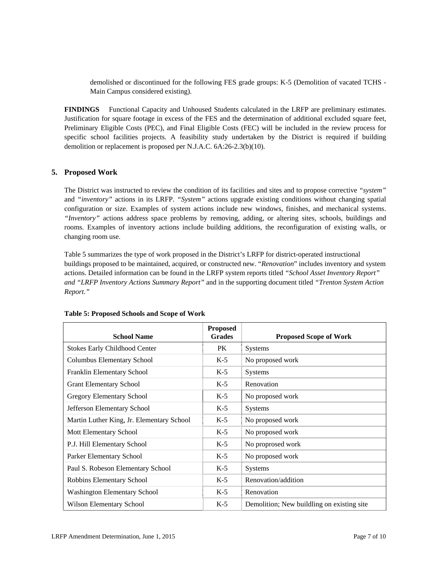demolished or discontinued for the following FES grade groups: K-5 (Demolition of vacated TCHS - Main Campus considered existing).

**FINDINGS** Functional Capacity and Unhoused Students calculated in the LRFP are preliminary estimates. Justification for square footage in excess of the FES and the determination of additional excluded square feet, Preliminary Eligible Costs (PEC), and Final Eligible Costs (FEC) will be included in the review process for specific school facilities projects. A feasibility study undertaken by the District is required if building demolition or replacement is proposed per N.J.A.C. 6A:26-2.3(b)(10).

## **5. Proposed Work**

The District was instructed to review the condition of its facilities and sites and to propose corrective *"system"* and *"inventory"* actions in its LRFP. *"System"* actions upgrade existing conditions without changing spatial configuration or size. Examples of system actions include new windows, finishes, and mechanical systems. *"Inventory"* actions address space problems by removing, adding, or altering sites, schools, buildings and rooms. Examples of inventory actions include building additions, the reconfiguration of existing walls, or changing room use.

Table 5 summarizes the type of work proposed in the District's LRFP for district-operated instructional buildings proposed to be maintained, acquired, or constructed new. "*Renovation*" includes inventory and system actions. Detailed information can be found in the LRFP system reports titled *"School Asset Inventory Report" and "LRFP Inventory Actions Summary Report"* and in the supporting document titled *"Trenton System Action Report."*

| <b>School Name</b>                        | <b>Proposed</b><br><b>Grades</b> | <b>Proposed Scope of Work</b>               |
|-------------------------------------------|----------------------------------|---------------------------------------------|
| <b>Stokes Early Childhood Center</b>      | PK.                              | <b>Systems</b>                              |
| Columbus Elementary School                | $K-5$                            | No proposed work                            |
| Franklin Elementary School                | $K-5$                            | <b>Systems</b>                              |
| <b>Grant Elementary School</b>            | $K-5$                            | Renovation                                  |
| Gregory Elementary School                 | $K-5$                            | No proposed work                            |
| Jefferson Elementary School               | $K-5$                            | <b>Systems</b>                              |
| Martin Luther King, Jr. Elementary School | $K-5$                            | No proposed work                            |
| <b>Mott Elementary School</b>             | $K-5$                            | No proposed work                            |
| P.J. Hill Elementary School               | $K-5$                            | No proprosed work                           |
| Parker Elementary School                  | $K-5$                            | No proposed work                            |
| Paul S. Robeson Elementary School         | $K-5$                            | <b>Systems</b>                              |
| Robbins Elementary School                 | $K-5$                            | Renovation/addition                         |
| <b>Washington Elementary School</b>       | $K-5$                            | Renovation                                  |
| Wilson Elementary School                  | $K-5$                            | Demolition; New buildling on existing site. |

# **Table 5: Proposed Schools and Scope of Work**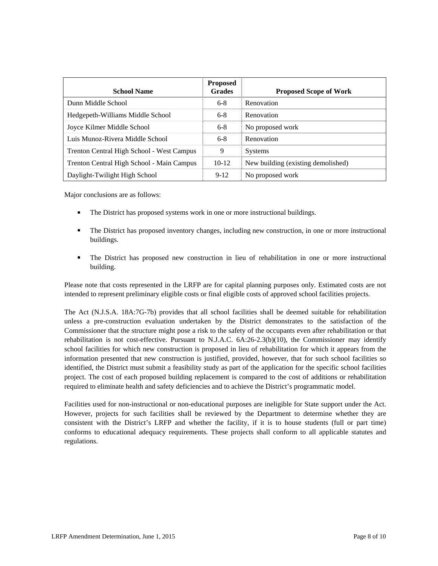| <b>School Name</b>                        | <b>Proposed</b><br><b>Grades</b> | <b>Proposed Scope of Work</b>      |
|-------------------------------------------|----------------------------------|------------------------------------|
| Dunn Middle School                        | $6 - 8$                          | Renovation                         |
| Hedgepeth-Williams Middle School          | $6-8$                            | Renovation                         |
| Joyce Kilmer Middle School                | $6 - 8$                          | No proposed work                   |
| Luis Munoz-Rivera Middle School           | $6-8$                            | Renovation                         |
| Trenton Central High School - West Campus | 9                                | <b>Systems</b>                     |
| Trenton Central High School - Main Campus | $10-12$                          | New building (existing demolished) |
| Daylight-Twilight High School             | $9-12$                           | No proposed work                   |

Major conclusions are as follows:

- The District has proposed systems work in one or more instructional buildings.
- The District has proposed inventory changes, including new construction, in one or more instructional buildings.
- The District has proposed new construction in lieu of rehabilitation in one or more instructional building.

Please note that costs represented in the LRFP are for capital planning purposes only. Estimated costs are not intended to represent preliminary eligible costs or final eligible costs of approved school facilities projects.

The Act (N.J.S.A. 18A:7G-7b) provides that all school facilities shall be deemed suitable for rehabilitation unless a pre-construction evaluation undertaken by the District demonstrates to the satisfaction of the Commissioner that the structure might pose a risk to the safety of the occupants even after rehabilitation or that rehabilitation is not cost-effective. Pursuant to N.J.A.C. 6A:26-2.3(b)(10), the Commissioner may identify school facilities for which new construction is proposed in lieu of rehabilitation for which it appears from the information presented that new construction is justified, provided, however, that for such school facilities so identified, the District must submit a feasibility study as part of the application for the specific school facilities project. The cost of each proposed building replacement is compared to the cost of additions or rehabilitation required to eliminate health and safety deficiencies and to achieve the District's programmatic model.

Facilities used for non-instructional or non-educational purposes are ineligible for State support under the Act. However, projects for such facilities shall be reviewed by the Department to determine whether they are consistent with the District's LRFP and whether the facility, if it is to house students (full or part time) conforms to educational adequacy requirements. These projects shall conform to all applicable statutes and regulations.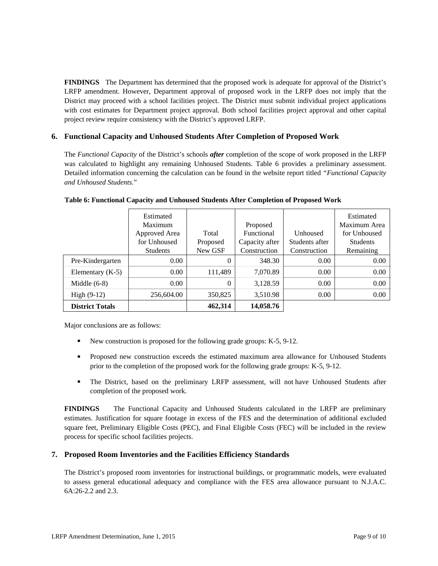**FINDINGS** The Department has determined that the proposed work is adequate for approval of the District's LRFP amendment. However, Department approval of proposed work in the LRFP does not imply that the District may proceed with a school facilities project. The District must submit individual project applications with cost estimates for Department project approval. Both school facilities project approval and other capital project review require consistency with the District's approved LRFP.

# **6. Functional Capacity and Unhoused Students After Completion of Proposed Work**

The *Functional Capacity* of the District's schools *after* completion of the scope of work proposed in the LRFP was calculated to highlight any remaining Unhoused Students. Table 6 provides a preliminary assessment. Detailed information concerning the calculation can be found in the website report titled *"Functional Capacity and Unhoused Students.*"

|                        | Estimated       |          |                |                | Estimated       |
|------------------------|-----------------|----------|----------------|----------------|-----------------|
|                        | Maximum         |          | Proposed       |                | Maximum Area    |
|                        | Approved Area   | Total    | Functional     | Unhoused       | for Unhoused    |
|                        | for Unhoused    | Proposed | Capacity after | Students after | <b>Students</b> |
|                        | <b>Students</b> | New GSF  | Construction   | Construction   | Remaining       |
| Pre-Kindergarten       | 0.00            | 0        | 348.30         | 0.00           | 0.00            |
| Elementary $(K-5)$     | 0.00            | 111,489  | 7,070.89       | 0.00           | 0.00            |
| Middle $(6-8)$         | 0.00            | 0        | 3,128.59       | 0.00           | 0.00            |
| High $(9-12)$          | 256,604.00      | 350,825  | 3,510.98       | 0.00           | 0.00            |
| <b>District Totals</b> |                 | 462,314  | 14,058.76      |                |                 |

#### **Table 6: Functional Capacity and Unhoused Students After Completion of Proposed Work**

Major conclusions are as follows:

- New construction is proposed for the following grade groups: K-5, 9-12.
- **Proposed new construction exceeds the estimated maximum area allowance for Unhoused Students** prior to the completion of the proposed work for the following grade groups: K-5, 9-12.
- The District, based on the preliminary LRFP assessment, will not have Unhoused Students after completion of the proposed work.

**FINDINGS** The Functional Capacity and Unhoused Students calculated in the LRFP are preliminary estimates. Justification for square footage in excess of the FES and the determination of additional excluded square feet, Preliminary Eligible Costs (PEC), and Final Eligible Costs (FEC) will be included in the review process for specific school facilities projects.

## **7. Proposed Room Inventories and the Facilities Efficiency Standards**

The District's proposed room inventories for instructional buildings, or programmatic models, were evaluated to assess general educational adequacy and compliance with the FES area allowance pursuant to N.J.A.C. 6A:26-2.2 and 2.3.